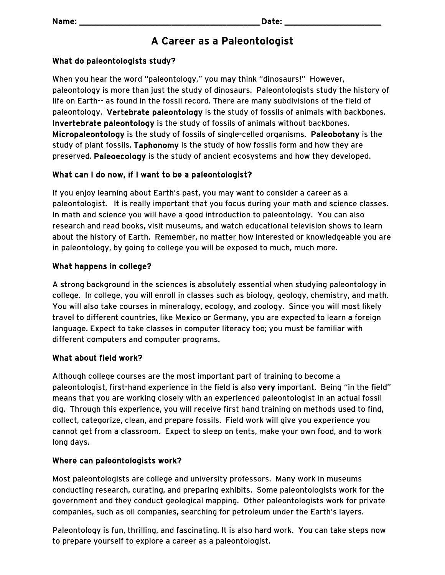# A Career as a Paleontologist

## What do paleontologists study?

When you hear the word "paleontology," you may think "dinosaurs!" However, paleontology is more than just the study of dinosaurs. Paleontologists study the history of life on Earth-- as found in the fossil record. There are many subdivisions of the field of paleontology. Vertebrate paleontology is the study of fossils of animals with backbones. Invertebrate paleontology is the study of fossils of animals without backbones. Micropaleontology is the study of fossils of single-celled organisms. Paleobotany is the study of plant fossils. Taphonomy is the study of how fossils form and how they are preserved. Paleoecology is the study of ancient ecosystems and how they developed.

## What can I do now, if I want to be a paleontologist?

If you enjoy learning about Earth's past, you may want to consider a career as a paleontologist. It is really important that you focus during your math and science classes. In math and science you will have a good introduction to paleontology. You can also research and read books, visit museums, and watch educational television shows to learn about the history of Earth. Remember, no matter how interested or knowledgeable you are in paleontology, by going to college you will be exposed to much, much more.

## What happens in college?

A strong background in the sciences is absolutely essential when studying paleontology in college. In college, you will enroll in classes such as biology, geology, chemistry, and math. You will also take courses in mineralogy, ecology, and zoology. Since you will most likely travel to different countries, like Mexico or Germany, you are expected to learn a foreign language. Expect to take classes in computer literacy too; you must be familiar with different computers and computer programs.

#### What about field work?

Although college courses are the most important part of training to become a paleontologist, first-hand experience in the field is also very important. Being "in the field" means that you are working closely with an experienced paleontologist in an actual fossil dig. Through this experience, you will receive first hand training on methods used to find, collect, categorize, clean, and prepare fossils. Field work will give you experience you cannot get from a classroom. Expect to sleep on tents, make your own food, and to work long days.

#### Where can paleontologists work?

Most paleontologists are college and university professors. Many work in museums conducting research, curating, and preparing exhibits. Some paleontologists work for the government and they conduct geological mapping. Other paleontologists work for private companies, such as oil companies, searching for petroleum under the Earth's layers.

Paleontology is fun, thrilling, and fascinating. It is also hard work. You can take steps now to prepare yourself to explore a career as a paleontologist.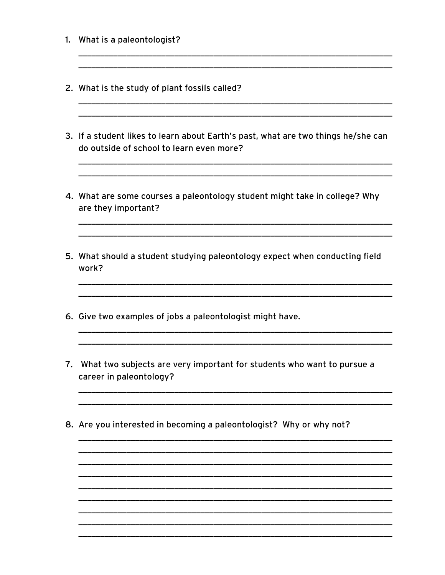- 1. What is a paleontologist?
- 2. What is the study of plant fossils called?
- 3. If a student likes to learn about Earth's past, what are two things he/she can do outside of school to learn even more?
- 4. What are some courses a paleontology student might take in college? Why are they important?

5. What should a student studying paleontology expect when conducting field work?

- 6. Give two examples of jobs a paleontologist might have.
- 7. What two subjects are very important for students who want to pursue a career in paleontology?
- 8. Are you interested in becoming a paleontologist? Why or why not?